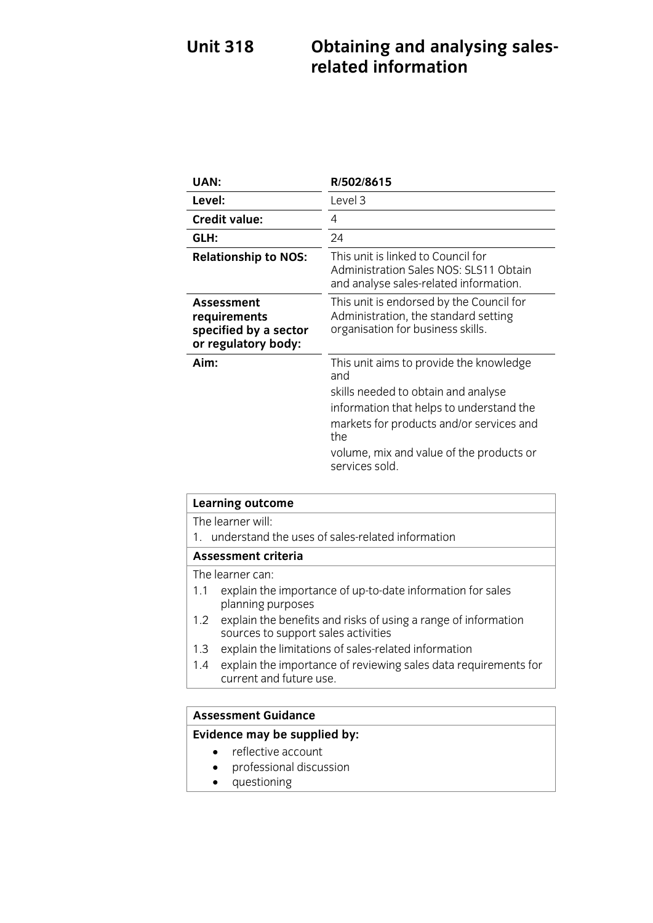# **Unit 318 Dependent Strip Strip Strip 318 Obtaining Strip Strip 32**

| UAN:                                                                       | R/502/8615                                                                                                                                                                                                                                         |
|----------------------------------------------------------------------------|----------------------------------------------------------------------------------------------------------------------------------------------------------------------------------------------------------------------------------------------------|
| Level:                                                                     | Level 3                                                                                                                                                                                                                                            |
| <b>Credit value:</b>                                                       | 4                                                                                                                                                                                                                                                  |
| GLH:                                                                       | 24                                                                                                                                                                                                                                                 |
| <b>Relationship to NOS:</b>                                                | This unit is linked to Council for<br>Administration Sales NOS: SLS11 Obtain<br>and analyse sales-related information.                                                                                                                             |
| Assessment<br>requirements<br>specified by a sector<br>or regulatory body: | This unit is endorsed by the Council for<br>Administration, the standard setting<br>organisation for business skills.                                                                                                                              |
| Aim:                                                                       | This unit aims to provide the knowledge<br>and<br>skills needed to obtain and analyse<br>information that helps to understand the<br>markets for products and/or services and<br>the<br>volume, mix and value of the products or<br>services sold. |

| Learning outcome                                                                                             |  |
|--------------------------------------------------------------------------------------------------------------|--|
| The learner will:                                                                                            |  |
| understand the uses of sales-related information<br>$1_{-}$                                                  |  |
| <b>Assessment criteria</b>                                                                                   |  |
| The learner can:                                                                                             |  |
| explain the importance of up-to-date information for sales<br>1.1<br>planning purposes                       |  |
| explain the benefits and risks of using a range of information<br>1.2<br>sources to support sales activities |  |
| explain the limitations of sales-related information<br>1.3                                                  |  |
| explain the importance of reviewing sales data requirements for<br>1.4<br>current and future use.            |  |
|                                                                                                              |  |

# **Assessment Guidance**

- reflective account<br>• professional discussion
	- professional discussion
	- questioning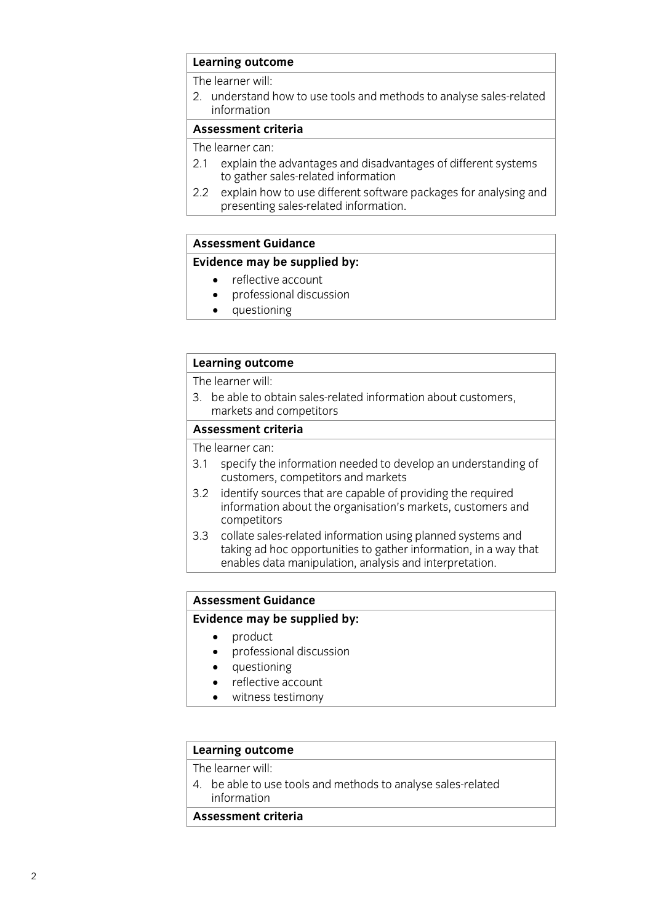### **Learning outcome**<br>The learner will:

2. understand how to use tools and methods to analyse sales-related information

#### Assessment criteria

The learner can:

- 2.1 explain the advantages and disadvantages of different systems to gather sales-related information
- explain how to use different software packages for analysing and  $2.2$ presenting sales-related information. presenting sales-relation in formation.

#### **Assessment Guidance**

#### **Evidence may be supplied by:**

- reflective account<br>• professional discussion
	- professional discussion<br>• questioning
	- questioning

# **Learning outcome**<br>The learner will:

3. be able to obtain sales-related information about customers. markets and competitors

#### Assessment criteria

The learner can:

- 3.1 specify the information needed to develop an understanding of customers, competitors and markets
- $3.2$ identify sources that are capable of providing the required information about the organisation's markets, customers and competitors
- collate sales-related information using planned systems and  $3.3$ taking ad hoc opportunities to gather information, in a way that enables data manipulation, analysis and interpretation. enables data manipulation, and interpretation, and interpretation. In the interpretation, and interpretation.

#### **Assessment Guidance**

#### **Evidence may be supplied by:**

- 
- product<br>• product<br>• professional discussion professional discussion
	- questioning
	- reflective account
	- witness testimony

# **Learning outcome**<br>The learner will:

4. be able to use tools and methods to analyse sales-related information

#### Assessment criteria **Assessment criteria**